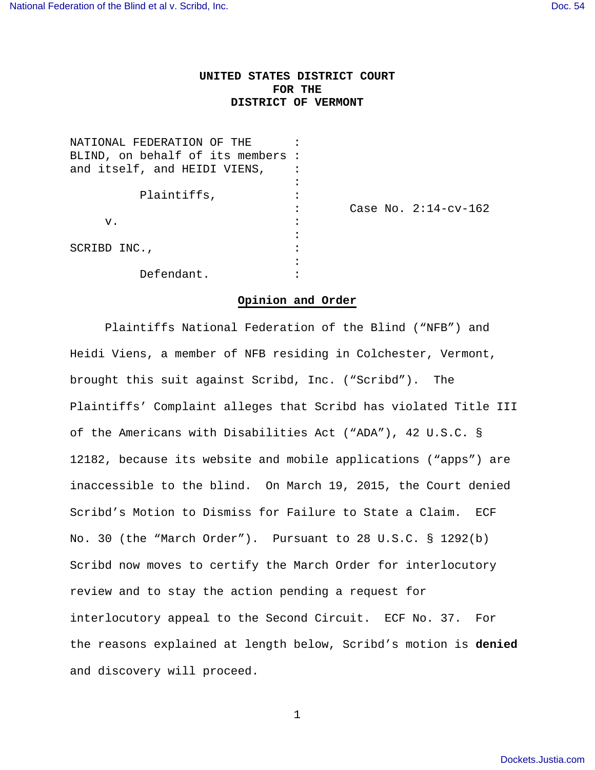## **UNITED STATES DISTRICT COURT FOR THE DISTRICT OF VERMONT**

| NATIONAL FEDERATION OF THE       |                         |
|----------------------------------|-------------------------|
| BLIND, on behalf of its members: |                         |
| and itself, and HEIDI VIENS,     |                         |
|                                  |                         |
| Plaintiffs,                      |                         |
|                                  | Case No. $2:14$ -cv-162 |
| v.                               |                         |
|                                  |                         |
| SCRIBD INC.,                     |                         |
|                                  |                         |
| Defendant.                       |                         |

## **Opinion and Order**

 Plaintiffs National Federation of the Blind ("NFB") and Heidi Viens, a member of NFB residing in Colchester, Vermont, brought this suit against Scribd, Inc. ("Scribd"). The Plaintiffs' Complaint alleges that Scribd has violated Title III of the Americans with Disabilities Act ("ADA"), 42 U.S.C. § 12182, because its website and mobile applications ("apps") are inaccessible to the blind. On March 19, 2015, the Court denied Scribd's Motion to Dismiss for Failure to State a Claim. ECF No. 30 (the "March Order"). Pursuant to 28 U.S.C. § 1292(b) Scribd now moves to certify the March Order for interlocutory review and to stay the action pending a request for interlocutory appeal to the Second Circuit. ECF No. 37. For the reasons explained at length below, Scribd's motion is **denied**  and discovery will proceed.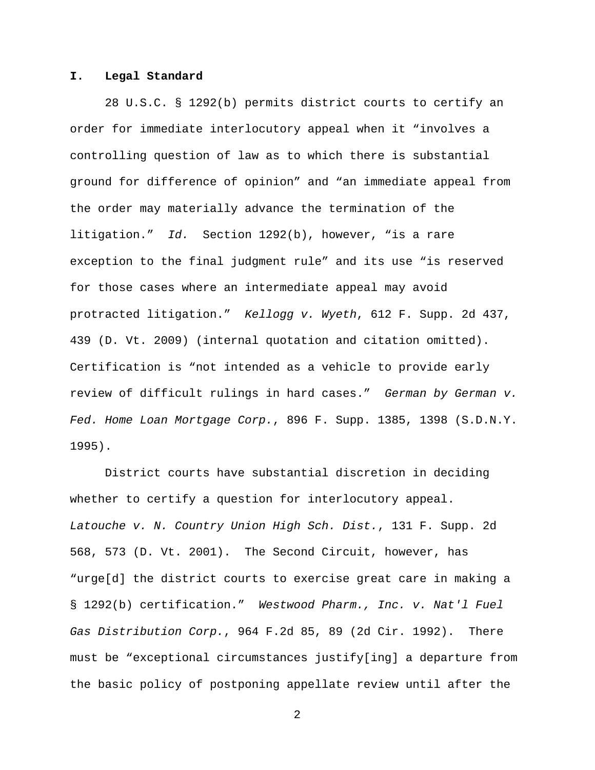## **I. Legal Standard**

28 U.S.C. § 1292(b) permits district courts to certify an order for immediate interlocutory appeal when it "involves a controlling question of law as to which there is substantial ground for difference of opinion" and "an immediate appeal from the order may materially advance the termination of the litigation." Id. Section 1292(b), however, "is a rare exception to the final judgment rule" and its use "is reserved for those cases where an intermediate appeal may avoid protracted litigation." Kellogg v. Wyeth, 612 F. Supp. 2d 437, 439 (D. Vt. 2009) (internal quotation and citation omitted). Certification is "not intended as a vehicle to provide early review of difficult rulings in hard cases." German by German v. Fed. Home Loan Mortgage Corp., 896 F. Supp. 1385, 1398 (S.D.N.Y. 1995).

District courts have substantial discretion in deciding whether to certify a question for interlocutory appeal. Latouche v. N. Country Union High Sch. Dist., 131 F. Supp. 2d 568, 573 (D. Vt. 2001). The Second Circuit, however, has "urge[d] the district courts to exercise great care in making a § 1292(b) certification." Westwood Pharm., Inc. v. Nat'l Fuel Gas Distribution Corp., 964 F.2d 85, 89 (2d Cir. 1992). There must be "exceptional circumstances justify[ing] a departure from the basic policy of postponing appellate review until after the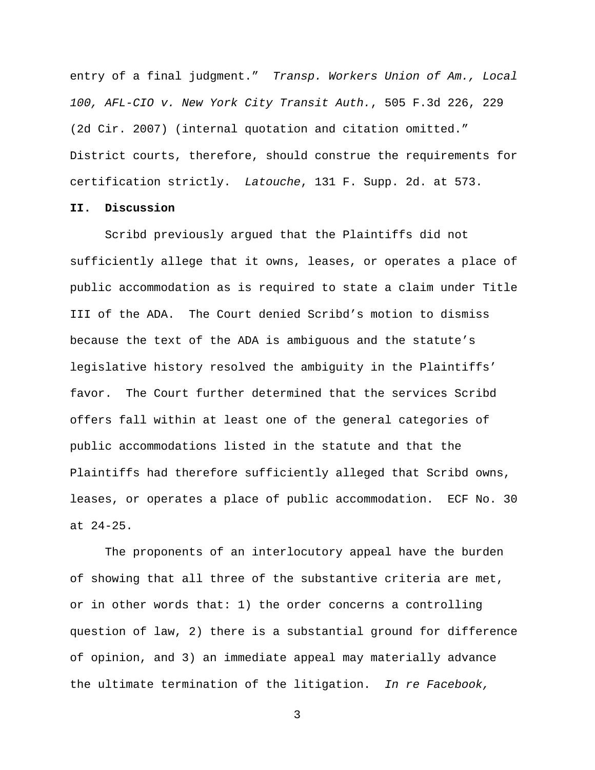entry of a final judgment." Transp. Workers Union of Am., Local 100, AFL-CIO v. New York City Transit Auth., 505 F.3d 226, 229 (2d Cir. 2007) (internal quotation and citation omitted." District courts, therefore, should construe the requirements for certification strictly. Latouche, 131 F. Supp. 2d. at 573.

## **II. Discussion**

Scribd previously argued that the Plaintiffs did not sufficiently allege that it owns, leases, or operates a place of public accommodation as is required to state a claim under Title III of the ADA. The Court denied Scribd's motion to dismiss because the text of the ADA is ambiguous and the statute's legislative history resolved the ambiguity in the Plaintiffs' favor. The Court further determined that the services Scribd offers fall within at least one of the general categories of public accommodations listed in the statute and that the Plaintiffs had therefore sufficiently alleged that Scribd owns, leases, or operates a place of public accommodation. ECF No. 30 at 24-25.

The proponents of an interlocutory appeal have the burden of showing that all three of the substantive criteria are met, or in other words that: 1) the order concerns a controlling question of law, 2) there is a substantial ground for difference of opinion, and 3) an immediate appeal may materially advance the ultimate termination of the litigation. In re Facebook,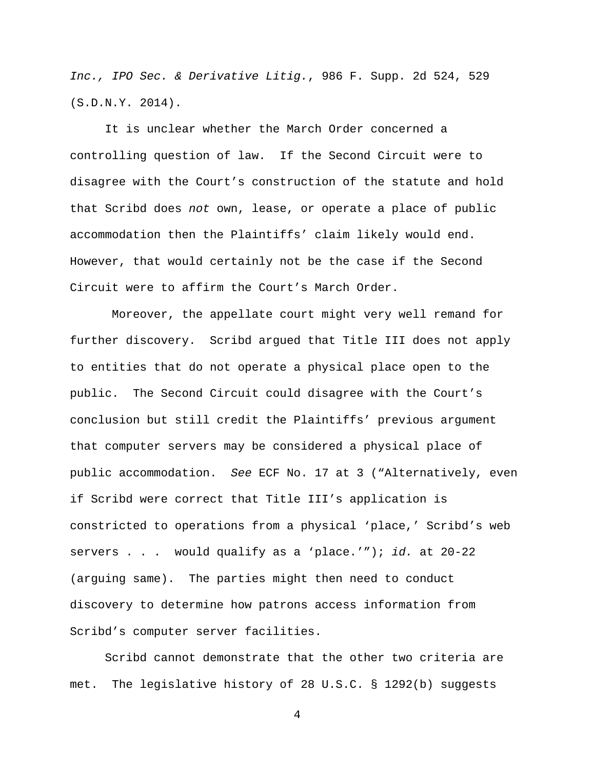Inc., IPO Sec. & Derivative Litig., 986 F. Supp. 2d 524, 529 (S.D.N.Y. 2014).

It is unclear whether the March Order concerned a controlling question of law. If the Second Circuit were to disagree with the Court's construction of the statute and hold that Scribd does not own, lease, or operate a place of public accommodation then the Plaintiffs' claim likely would end. However, that would certainly not be the case if the Second Circuit were to affirm the Court's March Order.

 Moreover, the appellate court might very well remand for further discovery. Scribd argued that Title III does not apply to entities that do not operate a physical place open to the public. The Second Circuit could disagree with the Court's conclusion but still credit the Plaintiffs' previous argument that computer servers may be considered a physical place of public accommodation. See ECF No. 17 at 3 ("Alternatively, even if Scribd were correct that Title III's application is constricted to operations from a physical 'place,' Scribd's web servers . . . would qualify as a 'place.'"); id. at 20-22 (arguing same). The parties might then need to conduct discovery to determine how patrons access information from Scribd's computer server facilities.

Scribd cannot demonstrate that the other two criteria are met. The legislative history of 28 U.S.C. § 1292(b) suggests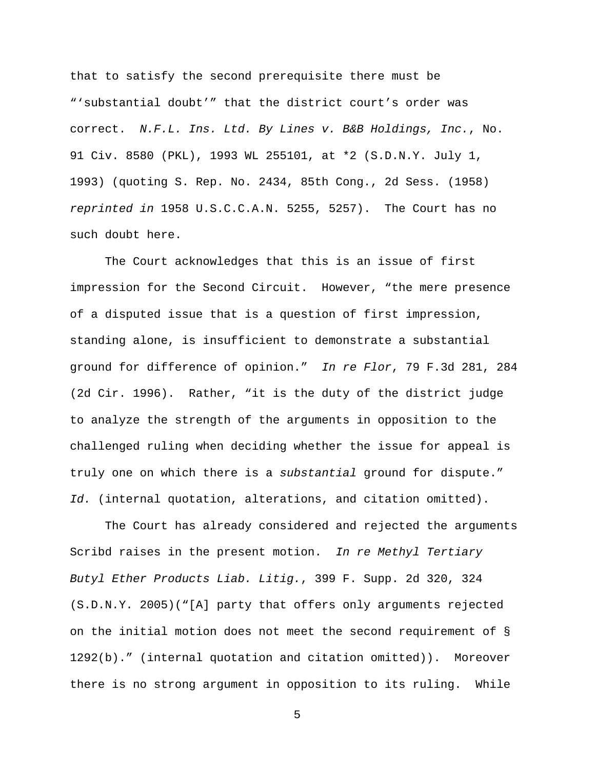that to satisfy the second prerequisite there must be "'substantial doubt'" that the district court's order was correct. N.F.L. Ins. Ltd. By Lines v. B&B Holdings, Inc., No. 91 Civ. 8580 (PKL), 1993 WL 255101, at \*2 (S.D.N.Y. July 1, 1993) (quoting S. Rep. No. 2434, 85th Cong., 2d Sess. (1958) reprinted in 1958 U.S.C.C.A.N. 5255, 5257). The Court has no such doubt here.

The Court acknowledges that this is an issue of first impression for the Second Circuit. However, "the mere presence of a disputed issue that is a question of first impression, standing alone, is insufficient to demonstrate a substantial ground for difference of opinion." In re Flor, 79 F.3d 281, 284 (2d Cir. 1996). Rather, "it is the duty of the district judge to analyze the strength of the arguments in opposition to the challenged ruling when deciding whether the issue for appeal is truly one on which there is a substantial ground for dispute." Id. (internal quotation, alterations, and citation omitted).

The Court has already considered and rejected the arguments Scribd raises in the present motion. In re Methyl Tertiary Butyl Ether Products Liab. Litig., 399 F. Supp. 2d 320, 324 (S.D.N.Y. 2005)("[A] party that offers only arguments rejected on the initial motion does not meet the second requirement of § 1292(b)." (internal quotation and citation omitted)). Moreover there is no strong argument in opposition to its ruling. While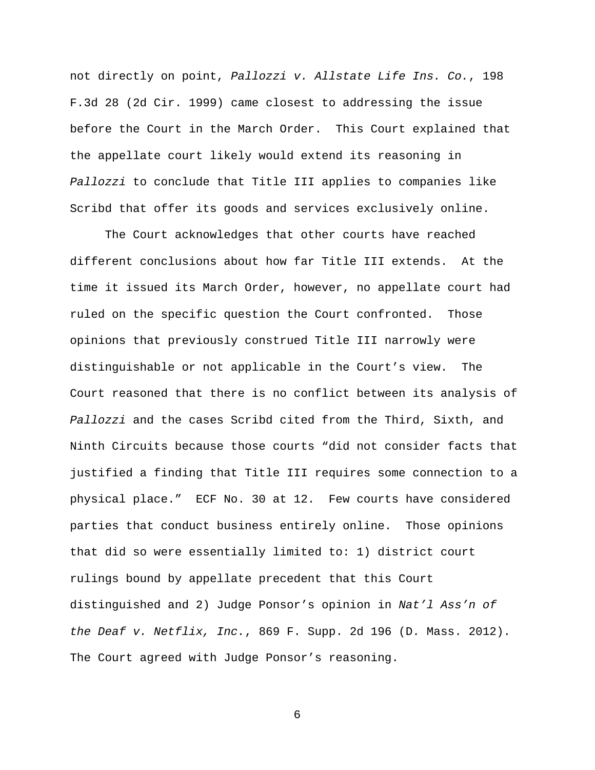not directly on point, Pallozzi v. Allstate Life Ins. Co., 198 F.3d 28 (2d Cir. 1999) came closest to addressing the issue before the Court in the March Order. This Court explained that the appellate court likely would extend its reasoning in Pallozzi to conclude that Title III applies to companies like Scribd that offer its goods and services exclusively online.

The Court acknowledges that other courts have reached different conclusions about how far Title III extends. At the time it issued its March Order, however, no appellate court had ruled on the specific question the Court confronted. Those opinions that previously construed Title III narrowly were distinguishable or not applicable in the Court's view. The Court reasoned that there is no conflict between its analysis of Pallozzi and the cases Scribd cited from the Third, Sixth, and Ninth Circuits because those courts "did not consider facts that justified a finding that Title III requires some connection to a physical place." ECF No. 30 at 12. Few courts have considered parties that conduct business entirely online. Those opinions that did so were essentially limited to: 1) district court rulings bound by appellate precedent that this Court distinguished and 2) Judge Ponsor's opinion in Nat'l Ass'n of the Deaf v. Netflix, Inc., 869 F. Supp. 2d 196 (D. Mass. 2012). The Court agreed with Judge Ponsor's reasoning.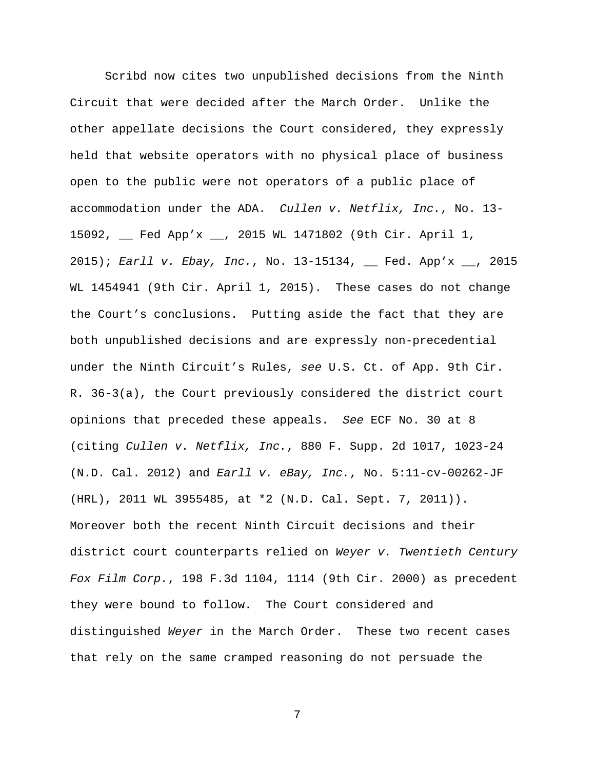Scribd now cites two unpublished decisions from the Ninth Circuit that were decided after the March Order. Unlike the other appellate decisions the Court considered, they expressly held that website operators with no physical place of business open to the public were not operators of a public place of accommodation under the ADA. Cullen v. Netflix, Inc., No. 13- 15092, \_\_ Fed App'x \_\_, 2015 WL 1471802 (9th Cir. April 1, 2015); Earll v. Ebay, Inc., No. 13-15134, \_\_ Fed. App'x \_\_, 2015 WL 1454941 (9th Cir. April 1, 2015). These cases do not change the Court's conclusions. Putting aside the fact that they are both unpublished decisions and are expressly non-precedential under the Ninth Circuit's Rules, see U.S. Ct. of App. 9th Cir. R. 36-3(a), the Court previously considered the district court opinions that preceded these appeals. See ECF No. 30 at 8 (citing Cullen v. Netflix, Inc., 880 F. Supp. 2d 1017, 1023-24  $(N.D. Cal. 2012)$  and  $Earth Iv. eBay, Inc., No. 5:11-cv-00262-JF$ (HRL), 2011 WL 3955485, at \*2 (N.D. Cal. Sept. 7, 2011)). Moreover both the recent Ninth Circuit decisions and their district court counterparts relied on Weyer v. Twentieth Century Fox Film Corp., 198 F.3d 1104, 1114 (9th Cir. 2000) as precedent they were bound to follow. The Court considered and distinguished Weyer in the March Order. These two recent cases that rely on the same cramped reasoning do not persuade the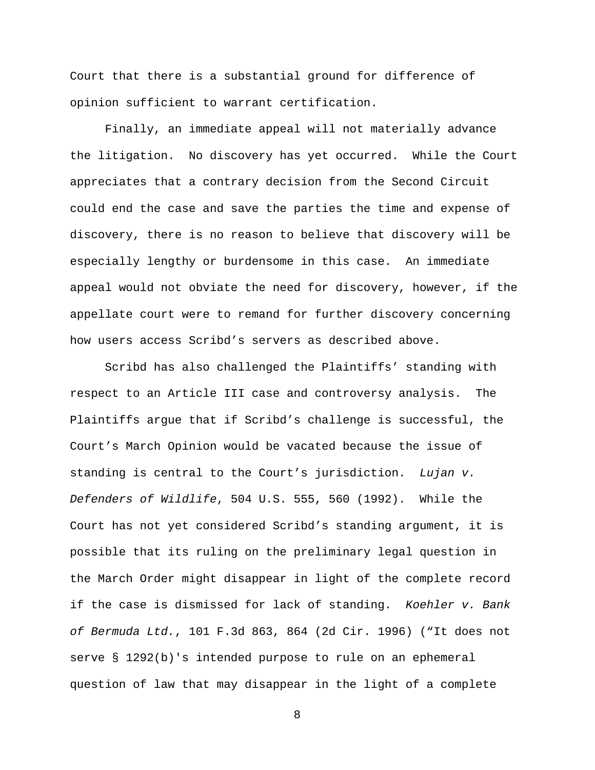Court that there is a substantial ground for difference of opinion sufficient to warrant certification.

Finally, an immediate appeal will not materially advance the litigation. No discovery has yet occurred. While the Court appreciates that a contrary decision from the Second Circuit could end the case and save the parties the time and expense of discovery, there is no reason to believe that discovery will be especially lengthy or burdensome in this case. An immediate appeal would not obviate the need for discovery, however, if the appellate court were to remand for further discovery concerning how users access Scribd's servers as described above.

Scribd has also challenged the Plaintiffs' standing with respect to an Article III case and controversy analysis. The Plaintiffs argue that if Scribd's challenge is successful, the Court's March Opinion would be vacated because the issue of standing is central to the Court's jurisdiction. Lujan v. Defenders of Wildlife, 504 U.S. 555, 560 (1992). While the Court has not yet considered Scribd's standing argument, it is possible that its ruling on the preliminary legal question in the March Order might disappear in light of the complete record if the case is dismissed for lack of standing. Koehler v. Bank of Bermuda Ltd., 101 F.3d 863, 864 (2d Cir. 1996) ("It does not serve § 1292(b)'s intended purpose to rule on an ephemeral question of law that may disappear in the light of a complete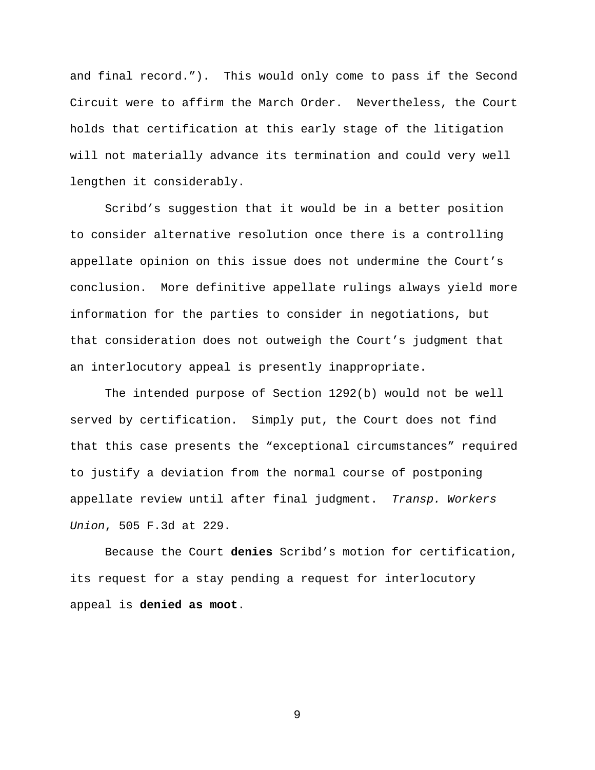and final record."). This would only come to pass if the Second Circuit were to affirm the March Order. Nevertheless, the Court holds that certification at this early stage of the litigation will not materially advance its termination and could very well lengthen it considerably.

Scribd's suggestion that it would be in a better position to consider alternative resolution once there is a controlling appellate opinion on this issue does not undermine the Court's conclusion. More definitive appellate rulings always yield more information for the parties to consider in negotiations, but that consideration does not outweigh the Court's judgment that an interlocutory appeal is presently inappropriate.

The intended purpose of Section 1292(b) would not be well served by certification. Simply put, the Court does not find that this case presents the "exceptional circumstances" required to justify a deviation from the normal course of postponing appellate review until after final judgment. Transp. Workers Union, 505 F.3d at 229.

Because the Court **denies** Scribd's motion for certification, its request for a stay pending a request for interlocutory appeal is **denied as moot**.